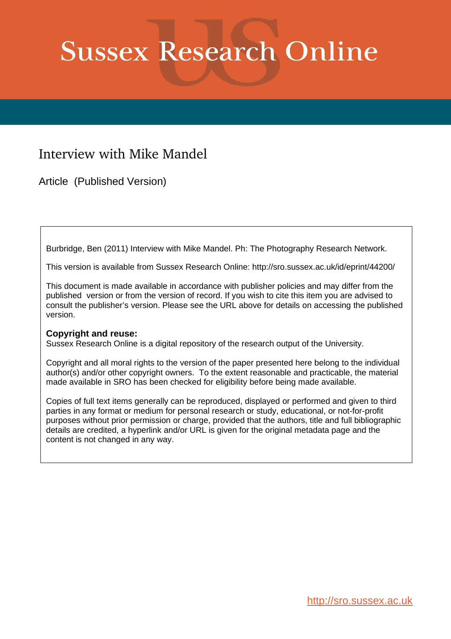# **Sussex Research Online**

## Interview with Mike Mandel

Article (Published Version)

Burbridge, Ben (2011) Interview with Mike Mandel. Ph: The Photography Research Network.

This version is available from Sussex Research Online: http://sro.sussex.ac.uk/id/eprint/44200/

This document is made available in accordance with publisher policies and may differ from the published version or from the version of record. If you wish to cite this item you are advised to consult the publisher's version. Please see the URL above for details on accessing the published version.

### **Copyright and reuse:**

Sussex Research Online is a digital repository of the research output of the University.

Copyright and all moral rights to the version of the paper presented here belong to the individual author(s) and/or other copyright owners. To the extent reasonable and practicable, the material made available in SRO has been checked for eligibility before being made available.

Copies of full text items generally can be reproduced, displayed or performed and given to third parties in any format or medium for personal research or study, educational, or not-for-profit purposes without prior permission or charge, provided that the authors, title and full bibliographic details are credited, a hyperlink and/or URL is given for the original metadata page and the content is not changed in any way.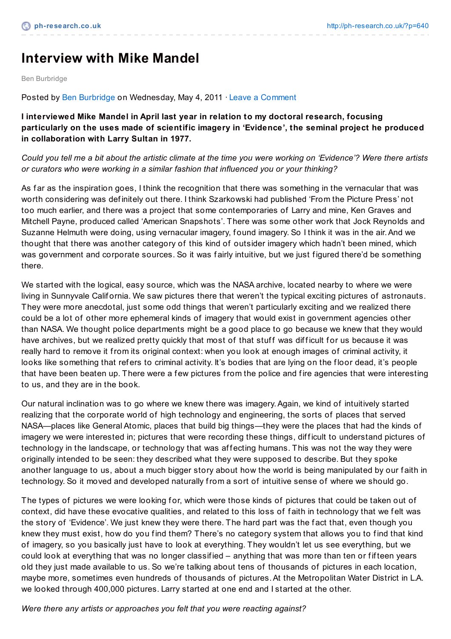# **Interview with Mike Mandel**

Ben Burbridge

Posted by Ben [Burbridge](http://ph-research.co.uk/?author=1) on Wednesday, May 4, 2011 · Leave a [Comment](http://ph-research.co.uk/?p=640#comments)

**I interviewed Mike Mandel in April last year in relation to my doctoral research, focusing particularly on the uses made of scientific imagery in 'Evidence', the seminal project he produced in collaboration with Larry Sultan in 1977.**

Could you tell me a bit about the artistic climate at the time you were working on 'Evidence'? Were there artists *or curators who were working in a similar fashion that influenced you or your thinking?*

As far as the inspiration goes, I think the recognition that there was something in the vernacular that was worth considering was def initely out there. I think Szarkowski had published 'From the Picture Press' not too much earlier, and there was a project that some contemporaries of Larry and mine, Ken Graves and Mitchell Payne, produced called 'American Snapshots'. There was some other work that Jock Reynolds and Suzanne Helmuth were doing, using vernacular imagery, found imagery. So I think it was in the air. And we thought that there was another category of this kind of outsider imagery which hadn't been mined, which was government and corporate sources. So it was f airly intuitive, but we just f igured there'd be something there.

We started with the logical, easy source, which was the NASA archive, located nearby to where we were living in Sunnyvale Calif ornia. We saw pictures there that weren't the typical exciting pictures of astronauts. They were more anecdotal, just some odd things that weren't particularly exciting and we realized there could be a lot of other more ephemeral kinds of imagery that would exist in government agencies other than NASA. We thought police departments might be a good place to go because we knew that they would have archives, but we realized pretty quickly that most of that stuff was difficult for us because it was really hard to remove it from its original context: when you look at enough images of criminal activity, it looks like something that refers to criminal activity. It's bodies that are lying on the floor dead, it's people that have been beaten up. There were a few pictures from the police and fire agencies that were interesting to us, and they are in the book.

Our natural inclination was to go where we knew there was imagery.Again, we kind of intuitively started realizing that the corporate world of high technology and engineering, the sorts of places that served NASA—places like General Atomic, places that build big things—they were the places that had the kinds of imagery we were interested in; pictures that were recording these things, difficult to understand pictures of technology in the landscape, or technology that was affecting humans. This was not the way they were originally intended to be seen: they described what they were supposed to describe. But they spoke another language to us, about a much bigger story about how the world is being manipulated by our faith in technology. So it moved and developed naturally from a sort of intuitive sense of where we should go.

The types of pictures we were looking for, which were those kinds of pictures that could be taken out of context, did have these evocative qualities, and related to this loss of faith in technology that we felt was the story of 'Evidence'. We just knew they were there. The hard part was the f act that, even though you knew they must exist, how do you find them? There's no category system that allows you to find that kind of imagery, so you basically just have to look at everything. They wouldn't let us see everything, but we could look at everything that was no longer classif ied – anything that was more than ten or f if teen years old they just made available to us. So we're talking about tens of thousands of pictures in each location, maybe more, sometimes even hundreds of thousands of pictures.At the Metropolitan Water District in L.A. we looked through 400,000 pictures. Larry started at one end and I started at the other.

*Were there any artists or approaches you felt that you were reacting against?*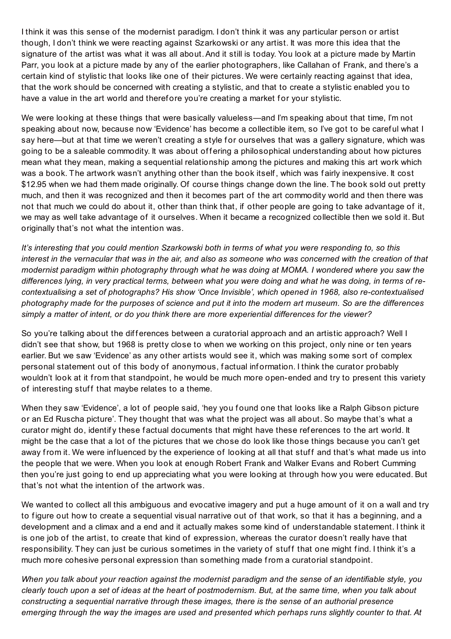I think it was this sense of the modernist paradigm. I don't think it was any particular person or artist though, I don't think we were reacting against Szarkowski or any artist. It was more this idea that the signature of the artist was what it was all about. And it still is today. You look at a picture made by Martin Parr, you look at a picture made by any of the earlier photographers, like Callahan of Frank, and there's a certain kind of stylistic that looks like one of their pictures. We were certainly reacting against that idea, that the work should be concerned with creating a stylistic, and that to create a stylistic enabled you to have a value in the art world and therefore you're creating a market for your stylistic.

We were looking at these things that were basically valueless—and I'm speaking about that time, I'm not speaking about now, because now 'Evidence' has become a collectible item, so I've got to be careful what I say here—but at that time we weren't creating a style for ourselves that was a gallery signature, which was going to be a saleable commodity. It was about offering a philosophical understanding about how pictures mean what they mean, making a sequential relationship among the pictures and making this art work which was a book. The artwork wasn't anything other than the book itself , which was f airly inexpensive. It cost \$12.95 when we had them made originally. Of course things change down the line. The book sold out pretty much, and then it was recognized and then it becomes part of the art commodity world and then there was not that much we could do about it, other than think that, if other people are going to take advantage of it, we may as well take advantage of it ourselves. When it became a recognized collectible then we sold it. But originally that's not what the intention was.

It's interesting that you could mention Szarkowski both in terms of what you were responding to, so this interest in the vernacular that was in the air, and also as someone who was concerned with the creation of that *modernist paradigm within photography through what he was doing at MOMA. I wondered where you saw the* differences lying, in very practical terms, between what you were doing and what he was doing, in terms of re*contextualising a set of photographs? His show 'Once Invisible', which opened in 1968, also re-contextualised* photography made for the purposes of science and put it into the modern art museum. So are the differences *simply a matter of intent, or do you think there are more experiential differences for the viewer?*

So you're talking about the differences between a curatorial approach and an artistic approach? Well I didn't see that show, but 1968 is pretty close to when we working on this project, only nine or ten years earlier. But we saw 'Evidence' as any other artists would see it, which was making some sort of complex personal statement out of this body of anonymous, f actual inf ormation. I think the curator probably wouldn't look at it from that standpoint, he would be much more open-ended and try to present this variety of interesting stuff that maybe relates to a theme.

When they saw 'Evidence', a lot of people said, 'hey you found one that looks like a Ralph Gibson picture or an Ed Ruscha picture'. They thought that was what the project was all about. So maybe that's what a curator might do, identif y these f actual documents that might have these ref erences to the art world. It might be the case that a lot of the pictures that we chose do look like those things because you can't get away from it. We were influenced by the experience of looking at all that stuff and that's what made us into the people that we were. When you look at enough Robert Frank and Walker Evans and Robert Cumming then you're just going to end up appreciating what you were looking at through how you were educated. But that's not what the intention of the artwork was.

We wanted to collect all this ambiguous and evocative imagery and put a huge amount of it on a wall and try to figure out how to create a sequential visual narrative out of that work, so that it has a beginning, and a development and a climax and a end and it actually makes some kind of understandable statement. I think it is one job of the artist, to create that kind of expression, whereas the curator doesn't really have that responsibility. They can just be curious sometimes in the variety of stuff that one might find. I think it's a much more cohesive personal expression than something made from a curatorial standpoint.

When you talk about your reaction against the modernist paradigm and the sense of an identifiable style, you clearly touch upon a set of ideas at the heart of postmodernism. But, at the same time, when you talk about *constructing a sequential narrative through these images, there is the sense of an authorial presence* emerging through the way the images are used and presented which perhaps runs slightly counter to that. At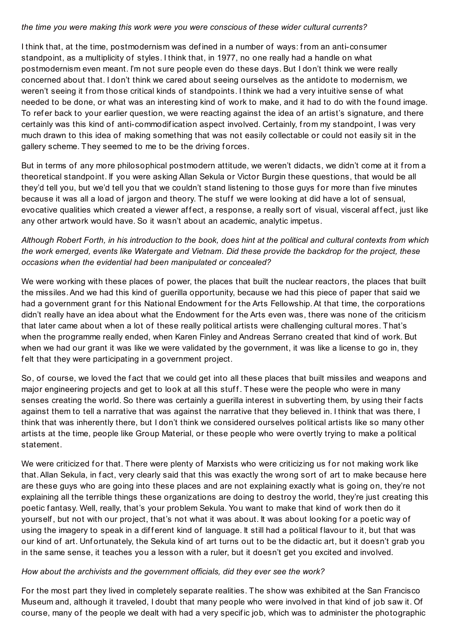#### *the time you were making this work were you were conscious of these wider cultural currents?*

I think that, at the time, postmodernism was def ined in a number of ways: from an anti-consumer standpoint, as a multiplicity of styles. I think that, in 1977, no one really had a handle on what postmodernism even meant. I'm not sure people even do these days. But I don't think we were really concerned about that. I don't think we cared about seeing ourselves as the antidote to modernism, we weren't seeing it from those critical kinds of standpoints. I think we had a very intuitive sense of what needed to be done, or what was an interesting kind of work to make, and it had to do with the found image. To refer back to your earlier question, we were reacting against the idea of an artist's signature, and there certainly was this kind of anti-commodif ication aspect involved. Certainly, from my standpoint, I was very much drawn to this idea of making something that was not easily collectable or could not easily sit in the gallery scheme. They seemed to me to be the driving forces.

But in terms of any more philosophical postmodern attitude, we weren't didacts, we didn't come at it from a theoretical standpoint. If you were asking Allan Sekula or Victor Burgin these questions, that would be all they'd tell you, but we'd tell you that we couldn't stand listening to those guys for more than five minutes because it was all a load of jargon and theory. The stuff we were looking at did have a lot of sensual, evocative qualities which created a viewer affect, a response, a really sort of visual, visceral affect, just like any other artwork would have. So it wasn't about an academic, analytic impetus.

## Although Robert Forth, in his introduction to the book, does hint at the political and cultural contexts from which the work emerged, events like Watergate and Vietnam. Did these provide the backdrop for the project, these *occasions when the evidential had been manipulated or concealed?*

We were working with these places of power, the places that built the nuclear reactors, the places that built the missiles.And we had this kind of guerilla opportunity, because we had this piece of paper that said we had a government grant for this National Endowment for the Arts Fellowship. At that time, the corporations didn't really have an idea about what the Endowment for the Arts even was, there was none of the criticism that later came about when a lot of these really political artists were challenging cultural mores. That's when the programme really ended, when Karen Finley and Andreas Serrano created that kind of work. But when we had our grant it was like we were validated by the government, it was like a license to go in, they felt that they were participating in a government project.

So, of course, we loved the fact that we could get into all these places that built missiles and weapons and major engineering projects and get to look at all this stuff. These were the people who were in many senses creating the world. So there was certainly a guerilla interest in subverting them, by using their f acts against them to tell a narrative that was against the narrative that they believed in. I think that was there, I think that was inherently there, but I don't think we considered ourselves political artists like so many other artists at the time, people like Group Material, or these people who were overtly trying to make a political statement.

We were criticized for that. There were plenty of Marxists who were criticizing us for not making work like that. Allan Sekula, in fact, very clearly said that this was exactly the wrong sort of art to make because here are these guys who are going into these places and are not explaining exactly what is going on, they're not explaining all the terrible things these organizations are doing to destroy the world, they're just creating this poetic fantasy. Well, really, that's your problem Sekula. You want to make that kind of work then do it yourself, but not with our project, that's not what it was about. It was about looking for a poetic way of using the imagery to speak in a different kind of language. It still had a political flavour to it, but that was our kind of art. Unf ortunately, the Sekula kind of art turns out to be the didactic art, but it doesn't grab you in the same sense, it teaches you a lesson with a ruler, but it doesn't get you excited and involved.

#### *How about the archivists and the government officials, did they ever see the work?*

For the most part they lived in completely separate realities. The show was exhibited at the San Francisco Museum and, although it traveled, I doubt that many people who were involved in that kind of job saw it. Of course, many of the people we dealt with had a very specif ic job, which was to administer the photographic